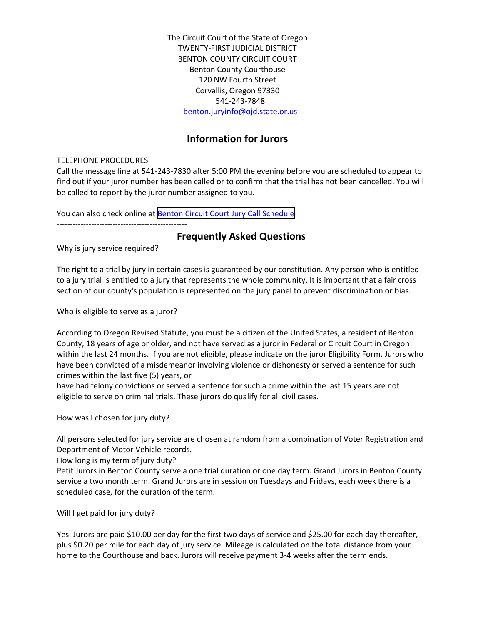The Circuit Court of the State of Oregon TWENTY‐FIRST JUDICIAL DISTRICT BENTON COUNTY CIRCUIT COURT Benton County Courthouse 120 NW Fourth Street Corvallis, Oregon 97330 541-243-7848 benton.juryinfo@ojd.state.or.us

# **Information for Jurors**

### TELEPHONE PROCEDURES

Call the message line at 541‐243-7830 after 5:00 PM the evening before you are scheduled to appear to find out if your juror number has been called or to confirm that the trial has not been cancelled. You will be called to report by the juror number assigned to you.

You can also check online at Benton Circuit Court Jury Call [Schedule](http://www.ojd.state.or.us/BEN/jurycall.nsf/3e092eca1afc512e88256827006440b3/7f2d752c64fbbc5888257608005355cf?OpenDocument)

‐‐‐‐‐‐‐‐‐‐‐‐‐‐‐‐‐‐‐‐‐‐‐‐‐‐‐‐‐‐‐‐‐‐‐‐‐‐‐‐‐‐‐‐‐‐‐‐‐

# **Frequently Asked Questions**

Why is jury service required?

The right to a trial by jury in certain cases is guaranteed by our constitution. Any person who is entitled to a jury trial is entitled to a jury that represents the whole community. It is important that a fair cross section of our county's population is represented on the jury panel to prevent discrimination or bias.

Who is eligible to serve as a juror?

According to Oregon Revised Statute, you must be a citizen of the United States, a resident of Benton County, 18 years of age or older, and not have served as a juror in Federal or Circuit Court in Oregon within the last 24 months. If you are not eligible, please indicate on the juror Eligibility Form. Jurors who have been convicted of a misdemeanor involving violence or dishonesty or served a sentence for such crimes within the last five (5) years, or

have had felony convictions or served a sentence for such a crime within the last 15 years are not eligible to serve on criminal trials. These jurors do qualify for all civil cases.

How was I chosen for jury duty?

All persons selected for jury service are chosen at random from a combination of Voter Registration and Department of Motor Vehicle records.

How long is my term of jury duty?

Petit Jurors in Benton County serve a one trial duration or one day term. Grand Jurors in Benton County service a two month term. Grand Jurors are in session on Tuesdays and Fridays, each week there is a scheduled case, for the duration of the term.

Will I get paid for jury duty?

Yes. Jurors are paid \$10.00 per day for the first two days of service and \$25.00 for each day thereafter, plus \$0.20 per mile for each day of jury service. Mileage is calculated on the total distance from your home to the Courthouse and back. Jurors will receive payment 3-4 weeks after the term ends.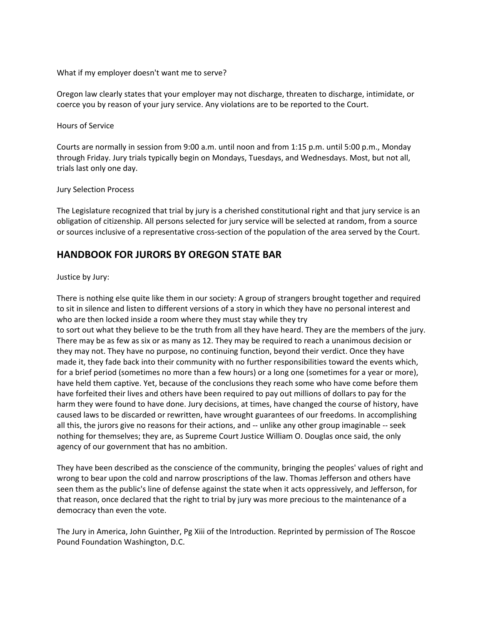What if my employer doesn't want me to serve?

Oregon law clearly states that your employer may not discharge, threaten to discharge, intimidate, or coerce you by reason of your jury service. Any violations are to be reported to the Court.

Hours of Service

Courts are normally in session from 9:00 a.m. until noon and from 1:15 p.m. until 5:00 p.m., Monday through Friday. Jury trials typically begin on Mondays, Tuesdays, and Wednesdays. Most, but not all, trials last only one day.

#### Jury Selection Process

The Legislature recognized that trial by jury is a cherished constitutional right and that jury service is an obligation of citizenship. All persons selected for jury service will be selected at random, from a source or sources inclusive of a representative cross‐section of the population of the area served by the Court.

# **HANDBOOK FOR JURORS BY OREGON STATE BAR**

#### Justice by Jury:

There is nothing else quite like them in our society: A group of strangers brought together and required to sit in silence and listen to different versions of a story in which they have no personal interest and who are then locked inside a room where they must stay while they try to sort out what they believe to be the truth from all they have heard. They are the members of the jury. There may be as few as six or as many as 12. They may be required to reach a unanimous decision or they may not. They have no purpose, no continuing function, beyond their verdict. Once they have made it, they fade back into their community with no further responsibilities toward the events which, for a brief period (sometimes no more than a few hours) or a long one (sometimes for a year or more), have held them captive. Yet, because of the conclusions they reach some who have come before them have forfeited their lives and others have been required to pay out millions of dollars to pay for the harm they were found to have done. Jury decisions, at times, have changed the course of history, have caused laws to be discarded or rewritten, have wrought guarantees of our freedoms. In accomplishing all this, the jurors give no reasons for their actions, and ‐‐ unlike any other group imaginable ‐‐ seek nothing for themselves; they are, as Supreme Court Justice William O. Douglas once said, the only agency of our government that has no ambition.

They have been described as the conscience of the community, bringing the peoples' values of right and wrong to bear upon the cold and narrow proscriptions of the law. Thomas Jefferson and others have seen them as the public's line of defense against the state when it acts oppressively, and Jefferson, for that reason, once declared that the right to trial by jury was more precious to the maintenance of a democracy than even the vote.

The Jury in America, John Guinther, Pg Xiii of the Introduction. Reprinted by permission of The Roscoe Pound Foundation Washington, D.C.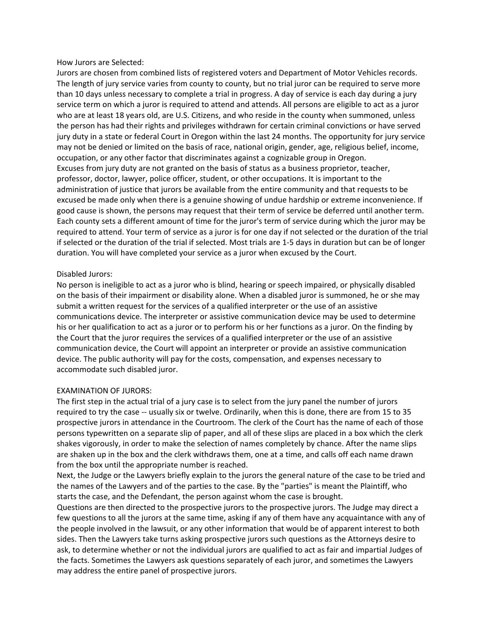How Jurors are Selected:

Jurors are chosen from combined lists of registered voters and Department of Motor Vehicles records. The length of jury service varies from county to county, but no trial juror can be required to serve more than 10 days unless necessary to complete a trial in progress. A day of service is each day during a jury service term on which a juror is required to attend and attends. All persons are eligible to act as a juror who are at least 18 years old, are U.S. Citizens, and who reside in the county when summoned, unless the person has had their rights and privileges withdrawn for certain criminal convictions or have served jury duty in a state or federal Court in Oregon within the last 24 months. The opportunity for jury service may not be denied or limited on the basis of race, national origin, gender, age, religious belief, income, occupation, or any other factor that discriminates against a cognizable group in Oregon. Excuses from jury duty are not granted on the basis of status as a business proprietor, teacher, professor, doctor, lawyer, police officer, student, or other occupations. It is important to the administration of justice that jurors be available from the entire community and that requests to be excused be made only when there is a genuine showing of undue hardship or extreme inconvenience. If good cause is shown, the persons may request that their term of service be deferred until another term. Each county sets a different amount of time for the juror's term of service during which the juror may be required to attend. Your term of service as a juror is for one day if not selected or the duration of the trial if selected or the duration of the trial if selected. Most trials are 1-5 days in duration but can be of longer duration. You will have completed your service as a juror when excused by the Court.

### Disabled Jurors:

No person is ineligible to act as a juror who is blind, hearing or speech impaired, or physically disabled on the basis of their impairment or disability alone. When a disabled juror is summoned, he or she may submit a written request for the services of a qualified interpreter or the use of an assistive communications device. The interpreter or assistive communication device may be used to determine his or her qualification to act as a juror or to perform his or her functions as a juror. On the finding by the Court that the juror requires the services of a qualified interpreter or the use of an assistive communication device, the Court will appoint an interpreter or provide an assistive communication device. The public authority will pay for the costs, compensation, and expenses necessary to accommodate such disabled juror.

### EXAMINATION OF JURORS:

The first step in the actual trial of a jury case is to select from the jury panel the number of jurors required to try the case -- usually six or twelve. Ordinarily, when this is done, there are from 15 to 35 prospective jurors in attendance in the Courtroom. The clerk of the Court has the name of each of those persons typewritten on a separate slip of paper, and all of these slips are placed in a box which the clerk shakes vigorously, in order to make the selection of names completely by chance. After the name slips are shaken up in the box and the clerk withdraws them, one at a time, and calls off each name drawn from the box until the appropriate number is reached.

Next, the Judge or the Lawyers briefly explain to the jurors the general nature of the case to be tried and the names of the Lawyers and of the parties to the case. By the "parties" is meant the Plaintiff, who starts the case, and the Defendant, the person against whom the case is brought.

Questions are then directed to the prospective jurors to the prospective jurors. The Judge may direct a few questions to all the jurors at the same time, asking if any of them have any acquaintance with any of the people involved in the lawsuit, or any other information that would be of apparent interest to both sides. Then the Lawyers take turns asking prospective jurors such questions as the Attorneys desire to ask, to determine whether or not the individual jurors are qualified to act as fair and impartial Judges of the facts. Sometimes the Lawyers ask questions separately of each juror, and sometimes the Lawyers may address the entire panel of prospective jurors.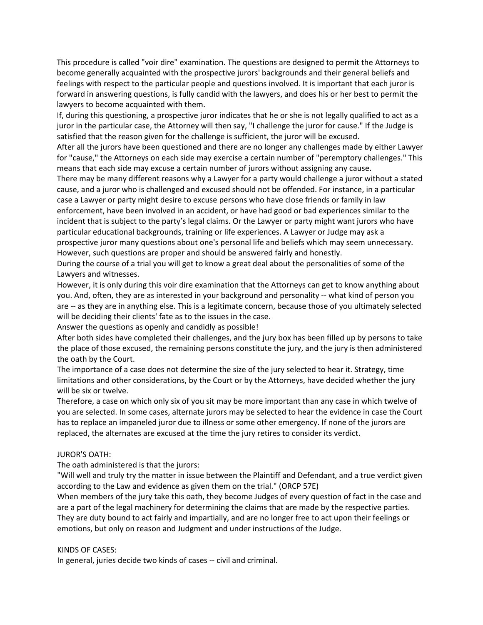This procedure is called "voir dire" examination. The questions are designed to permit the Attorneys to become generally acquainted with the prospective jurors' backgrounds and their general beliefs and feelings with respect to the particular people and questions involved. It is important that each juror is forward in answering questions, is fully candid with the lawyers, and does his or her best to permit the lawyers to become acquainted with them.

If, during this questioning, a prospective juror indicates that he or she is not legally qualified to act as a juror in the particular case, the Attorney will then say, "I challenge the juror for cause." If the Judge is satisfied that the reason given for the challenge is sufficient, the juror will be excused.

After all the jurors have been questioned and there are no longer any challenges made by either Lawyer for "cause," the Attorneys on each side may exercise a certain number of "peremptory challenges." This means that each side may excuse a certain number of jurors without assigning any cause.

There may be many different reasons why a Lawyer for a party would challenge a juror without a stated cause, and a juror who is challenged and excused should not be offended. For instance, in a particular case a Lawyer or party might desire to excuse persons who have close friends or family in law enforcement, have been involved in an accident, or have had good or bad experiences similar to the incident that is subject to the party's legal claims. Or the Lawyer or party might want jurors who have particular educational backgrounds, training or life experiences. A Lawyer or Judge may ask a prospective juror many questions about one's personal life and beliefs which may seem unnecessary. However, such questions are proper and should be answered fairly and honestly.

During the course of a trial you will get to know a great deal about the personalities of some of the Lawyers and witnesses.

However, it is only during this voir dire examination that the Attorneys can get to know anything about you. And, often, they are as interested in your background and personality -- what kind of person you are -- as they are in anything else. This is a legitimate concern, because those of you ultimately selected will be deciding their clients' fate as to the issues in the case.

Answer the questions as openly and candidly as possible!

After both sides have completed their challenges, and the jury box has been filled up by persons to take the place of those excused, the remaining persons constitute the jury, and the jury is then administered the oath by the Court.

The importance of a case does not determine the size of the jury selected to hear it. Strategy, time limitations and other considerations, by the Court or by the Attorneys, have decided whether the jury will be six or twelve.

Therefore, a case on which only six of you sit may be more important than any case in which twelve of you are selected. In some cases, alternate jurors may be selected to hear the evidence in case the Court has to replace an impaneled juror due to illness or some other emergency. If none of the jurors are replaced, the alternates are excused at the time the jury retires to consider its verdict.

#### JUROR'S OATH:

The oath administered is that the jurors:

"Will well and truly try the matter in issue between the Plaintiff and Defendant, and a true verdict given according to the Law and evidence as given them on the trial." (ORCP 57E)

When members of the jury take this oath, they become Judges of every question of fact in the case and are a part of the legal machinery for determining the claims that are made by the respective parties. They are duty bound to act fairly and impartially, and are no longer free to act upon their feelings or emotions, but only on reason and Judgment and under instructions of the Judge.

#### KINDS OF CASES:

In general, juries decide two kinds of cases ‐‐ civil and criminal.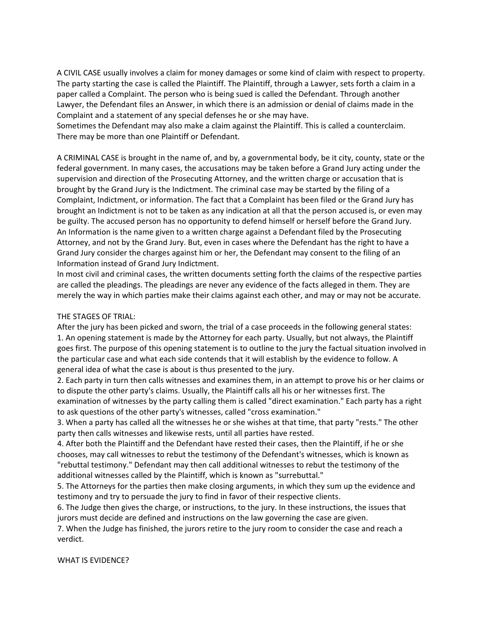A CIVIL CASE usually involves a claim for money damages or some kind of claim with respect to property. The party starting the case is called the Plaintiff. The Plaintiff, through a Lawyer, sets forth a claim in a paper called a Complaint. The person who is being sued is called the Defendant. Through another Lawyer, the Defendant files an Answer, in which there is an admission or denial of claims made in the Complaint and a statement of any special defenses he or she may have.

Sometimes the Defendant may also make a claim against the Plaintiff. This is called a counterclaim. There may be more than one Plaintiff or Defendant.

A CRIMINAL CASE is brought in the name of, and by, a governmental body, be it city, county, state or the federal government. In many cases, the accusations may be taken before a Grand Jury acting under the supervision and direction of the Prosecuting Attorney, and the written charge or accusation that is brought by the Grand Jury is the Indictment. The criminal case may be started by the filing of a Complaint, Indictment, or information. The fact that a Complaint has been filed or the Grand Jury has brought an Indictment is not to be taken as any indication at all that the person accused is, or even may be guilty. The accused person has no opportunity to defend himself or herself before the Grand Jury. An Information is the name given to a written charge against a Defendant filed by the Prosecuting Attorney, and not by the Grand Jury. But, even in cases where the Defendant has the right to have a Grand Jury consider the charges against him or her, the Defendant may consent to the filing of an Information instead of Grand Jury Indictment.

In most civil and criminal cases, the written documents setting forth the claims of the respective parties are called the pleadings. The pleadings are never any evidence of the facts alleged in them. They are merely the way in which parties make their claims against each other, and may or may not be accurate.

### THE STAGES OF TRIAL:

After the jury has been picked and sworn, the trial of a case proceeds in the following general states: 1. An opening statement is made by the Attorney for each party. Usually, but not always, the Plaintiff goes first. The purpose of this opening statement is to outline to the jury the factual situation involved in the particular case and what each side contends that it will establish by the evidence to follow. A general idea of what the case is about is thus presented to the jury.

2. Each party in turn then calls witnesses and examines them, in an attempt to prove his or her claims or to dispute the other party's claims. Usually, the Plaintiff calls all his or her witnesses first. The examination of witnesses by the party calling them is called "direct examination." Each party has a right to ask questions of the other party's witnesses, called "cross examination."

3. When a party has called all the witnesses he or she wishes at that time, that party "rests." The other party then calls witnesses and likewise rests, until all parties have rested.

4. After both the Plaintiff and the Defendant have rested their cases, then the Plaintiff, if he or she chooses, may call witnesses to rebut the testimony of the Defendant's witnesses, which is known as "rebuttal testimony." Defendant may then call additional witnesses to rebut the testimony of the additional witnesses called by the Plaintiff, which is known as "surrebuttal."

5. The Attorneys for the parties then make closing arguments, in which they sum up the evidence and testimony and try to persuade the jury to find in favor of their respective clients.

6. The Judge then gives the charge, or instructions, to the jury. In these instructions, the issues that jurors must decide are defined and instructions on the law governing the case are given.

7. When the Judge has finished, the jurors retire to the jury room to consider the case and reach a verdict.

#### WHAT IS EVIDENCE?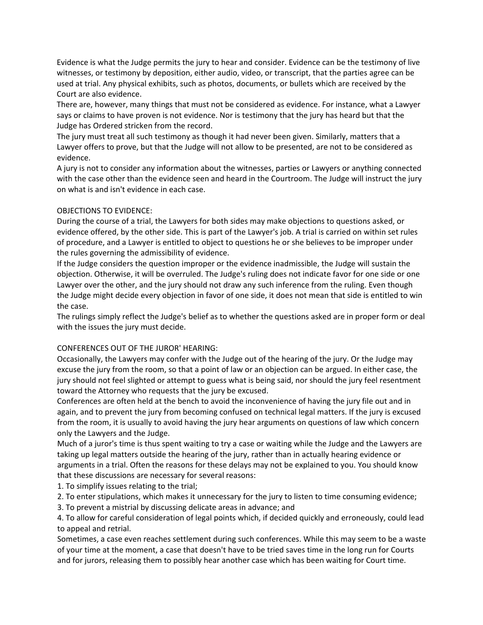Evidence is what the Judge permits the jury to hear and consider. Evidence can be the testimony of live witnesses, or testimony by deposition, either audio, video, or transcript, that the parties agree can be used at trial. Any physical exhibits, such as photos, documents, or bullets which are received by the Court are also evidence.

There are, however, many things that must not be considered as evidence. For instance, what a Lawyer says or claims to have proven is not evidence. Nor is testimony that the jury has heard but that the Judge has Ordered stricken from the record.

The jury must treat all such testimony as though it had never been given. Similarly, matters that a Lawyer offers to prove, but that the Judge will not allow to be presented, are not to be considered as evidence.

A jury is not to consider any information about the witnesses, parties or Lawyers or anything connected with the case other than the evidence seen and heard in the Courtroom. The Judge will instruct the jury on what is and isn't evidence in each case.

### OBJECTIONS TO EVIDENCE:

During the course of a trial, the Lawyers for both sides may make objections to questions asked, or evidence offered, by the other side. This is part of the Lawyer's job. A trial is carried on within set rules of procedure, and a Lawyer is entitled to object to questions he or she believes to be improper under the rules governing the admissibility of evidence.

If the Judge considers the question improper or the evidence inadmissible, the Judge will sustain the objection. Otherwise, it will be overruled. The Judge's ruling does not indicate favor for one side or one Lawyer over the other, and the jury should not draw any such inference from the ruling. Even though the Judge might decide every objection in favor of one side, it does not mean that side is entitled to win the case.

The rulings simply reflect the Judge's belief as to whether the questions asked are in proper form or deal with the issues the jury must decide.

### CONFERENCES OUT OF THE JUROR' HEARING:

Occasionally, the Lawyers may confer with the Judge out of the hearing of the jury. Or the Judge may excuse the jury from the room, so that a point of law or an objection can be argued. In either case, the jury should not feel slighted or attempt to guess what is being said, nor should the jury feel resentment toward the Attorney who requests that the jury be excused.

Conferences are often held at the bench to avoid the inconvenience of having the jury file out and in again, and to prevent the jury from becoming confused on technical legal matters. If the jury is excused from the room, it is usually to avoid having the jury hear arguments on questions of law which concern only the Lawyers and the Judge.

Much of a juror's time is thus spent waiting to try a case or waiting while the Judge and the Lawyers are taking up legal matters outside the hearing of the jury, rather than in actually hearing evidence or arguments in a trial. Often the reasons for these delays may not be explained to you. You should know that these discussions are necessary for several reasons:

1. To simplify issues relating to the trial;

- 2. To enter stipulations, which makes it unnecessary for the jury to listen to time consuming evidence;
- 3. To prevent a mistrial by discussing delicate areas in advance; and

4. To allow for careful consideration of legal points which, if decided quickly and erroneously, could lead to appeal and retrial.

Sometimes, a case even reaches settlement during such conferences. While this may seem to be a waste of your time at the moment, a case that doesn't have to be tried saves time in the long run for Courts and for jurors, releasing them to possibly hear another case which has been waiting for Court time.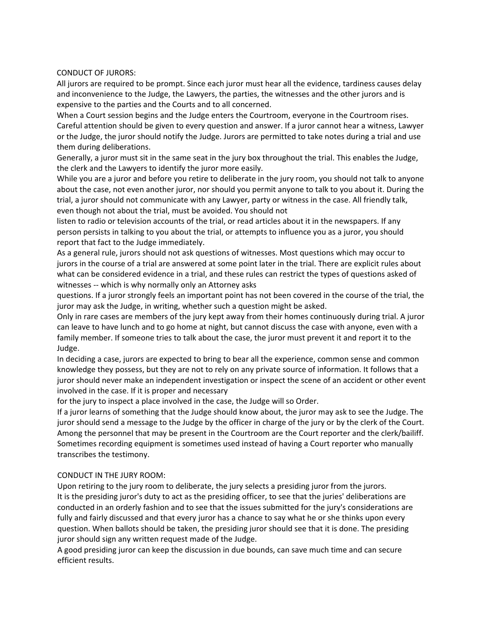#### CONDUCT OF JURORS:

All jurors are required to be prompt. Since each juror must hear all the evidence, tardiness causes delay and inconvenience to the Judge, the Lawyers, the parties, the witnesses and the other jurors and is expensive to the parties and the Courts and to all concerned.

When a Court session begins and the Judge enters the Courtroom, everyone in the Courtroom rises. Careful attention should be given to every question and answer. If a juror cannot hear a witness, Lawyer or the Judge, the juror should notify the Judge. Jurors are permitted to take notes during a trial and use them during deliberations.

Generally, a juror must sit in the same seat in the jury box throughout the trial. This enables the Judge, the clerk and the Lawyers to identify the juror more easily.

While you are a juror and before you retire to deliberate in the jury room, you should not talk to anyone about the case, not even another juror, nor should you permit anyone to talk to you about it. During the trial, a juror should not communicate with any Lawyer, party or witness in the case. All friendly talk, even though not about the trial, must be avoided. You should not

listen to radio or television accounts of the trial, or read articles about it in the newspapers. If any person persists in talking to you about the trial, or attempts to influence you as a juror, you should report that fact to the Judge immediately.

As a general rule, jurors should not ask questions of witnesses. Most questions which may occur to jurors in the course of a trial are answered at some point later in the trial. There are explicit rules about what can be considered evidence in a trial, and these rules can restrict the types of questions asked of witnesses -- which is why normally only an Attorney asks

questions. If a juror strongly feels an important point has not been covered in the course of the trial, the juror may ask the Judge, in writing, whether such a question might be asked.

Only in rare cases are members of the jury kept away from their homes continuously during trial. A juror can leave to have lunch and to go home at night, but cannot discuss the case with anyone, even with a family member. If someone tries to talk about the case, the juror must prevent it and report it to the Judge.

In deciding a case, jurors are expected to bring to bear all the experience, common sense and common knowledge they possess, but they are not to rely on any private source of information. It follows that a juror should never make an independent investigation or inspect the scene of an accident or other event involved in the case. If it is proper and necessary

for the jury to inspect a place involved in the case, the Judge will so Order.

If a juror learns of something that the Judge should know about, the juror may ask to see the Judge. The juror should send a message to the Judge by the officer in charge of the jury or by the clerk of the Court. Among the personnel that may be present in the Courtroom are the Court reporter and the clerk/bailiff. Sometimes recording equipment is sometimes used instead of having a Court reporter who manually transcribes the testimony.

### CONDUCT IN THE JURY ROOM:

Upon retiring to the jury room to deliberate, the jury selects a presiding juror from the jurors. It is the presiding juror's duty to act as the presiding officer, to see that the juries' deliberations are conducted in an orderly fashion and to see that the issues submitted for the jury's considerations are fully and fairly discussed and that every juror has a chance to say what he or she thinks upon every question. When ballots should be taken, the presiding juror should see that it is done. The presiding juror should sign any written request made of the Judge.

A good presiding juror can keep the discussion in due bounds, can save much time and can secure efficient results.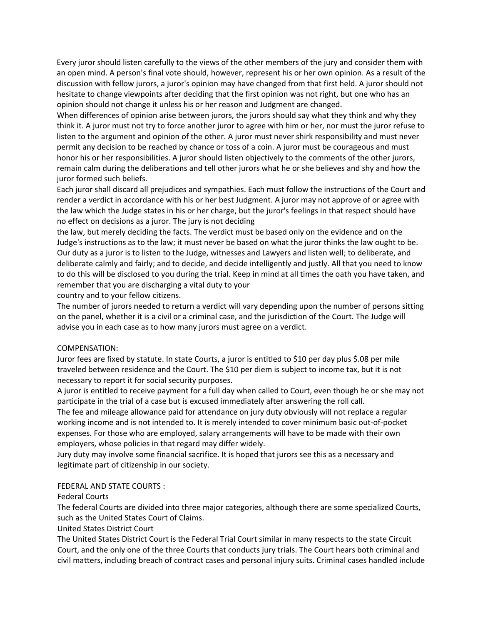Every juror should listen carefully to the views of the other members of the jury and consider them with an open mind. A person's final vote should, however, represent his or her own opinion. As a result of the discussion with fellow jurors, a juror's opinion may have changed from that first held. A juror should not hesitate to change viewpoints after deciding that the first opinion was not right, but one who has an opinion should not change it unless his or her reason and Judgment are changed.

When differences of opinion arise between jurors, the jurors should say what they think and why they think it. A juror must not try to force another juror to agree with him or her, nor must the juror refuse to listen to the argument and opinion of the other. A juror must never shirk responsibility and must never permit any decision to be reached by chance or toss of a coin. A juror must be courageous and must honor his or her responsibilities. A juror should listen objectively to the comments of the other jurors, remain calm during the deliberations and tell other jurors what he or she believes and shy and how the juror formed such beliefs.

Each juror shall discard all prejudices and sympathies. Each must follow the instructions of the Court and render a verdict in accordance with his or her best Judgment. A juror may not approve of or agree with the law which the Judge states in his or her charge, but the juror's feelings in that respect should have no effect on decisions as a juror. The jury is not deciding

the law, but merely deciding the facts. The verdict must be based only on the evidence and on the Judge's instructions as to the law; it must never be based on what the juror thinks the law ought to be. Our duty as a juror is to listen to the Judge, witnesses and Lawyers and listen well; to deliberate, and deliberate calmly and fairly; and to decide, and decide intelligently and justly. All that you need to know to do this will be disclosed to you during the trial. Keep in mind at all times the oath you have taken, and remember that you are discharging a vital duty to your

country and to your fellow citizens.

The number of jurors needed to return a verdict will vary depending upon the number of persons sitting on the panel, whether it is a civil or a criminal case, and the jurisdiction of the Court. The Judge will advise you in each case as to how many jurors must agree on a verdict.

### COMPENSATION:

Juror fees are fixed by statute. In state Courts, a juror is entitled to \$10 per day plus \$.08 per mile traveled between residence and the Court. The \$10 per diem is subject to income tax, but it is not necessary to report it for social security purposes.

A juror is entitled to receive payment for a full day when called to Court, even though he or she may not participate in the trial of a case but is excused immediately after answering the roll call.

The fee and mileage allowance paid for attendance on jury duty obviously will not replace a regular working income and is not intended to. It is merely intended to cover minimum basic out‐of‐pocket expenses. For those who are employed, salary arrangements will have to be made with their own employers, whose policies in that regard may differ widely.

Jury duty may involve some financial sacrifice. It is hoped that jurors see this as a necessary and legitimate part of citizenship in our society.

# FEDERAL AND STATE COURTS :

# Federal Courts

The federal Courts are divided into three major categories, although there are some specialized Courts, such as the United States Court of Claims.

# United States District Court

The United States District Court is the Federal Trial Court similar in many respects to the state Circuit Court, and the only one of the three Courts that conducts jury trials. The Court hears both criminal and civil matters, including breach of contract cases and personal injury suits. Criminal cases handled include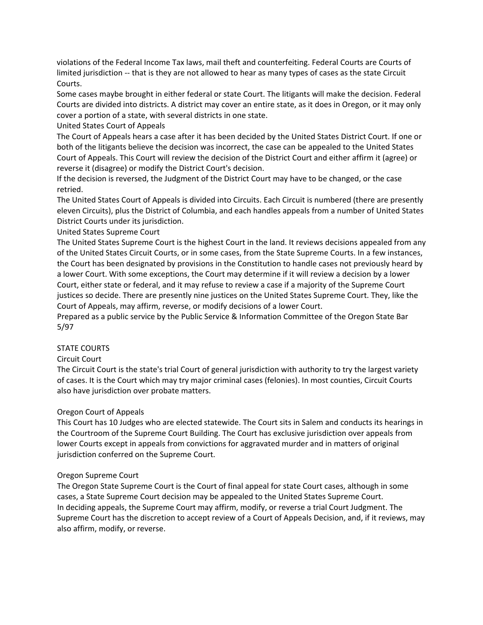violations of the Federal Income Tax laws, mail theft and counterfeiting. Federal Courts are Courts of limited jurisdiction -- that is they are not allowed to hear as many types of cases as the state Circuit Courts.

Some cases maybe brought in either federal or state Court. The litigants will make the decision. Federal Courts are divided into districts. A district may cover an entire state, as it does in Oregon, or it may only cover a portion of a state, with several districts in one state.

United States Court of Appeals

The Court of Appeals hears a case after it has been decided by the United States District Court. If one or both of the litigants believe the decision was incorrect, the case can be appealed to the United States Court of Appeals. This Court will review the decision of the District Court and either affirm it (agree) or reverse it (disagree) or modify the District Court's decision.

If the decision is reversed, the Judgment of the District Court may have to be changed, or the case retried.

The United States Court of Appeals is divided into Circuits. Each Circuit is numbered (there are presently eleven Circuits), plus the District of Columbia, and each handles appeals from a number of United States District Courts under its jurisdiction.

## United States Supreme Court

The United States Supreme Court is the highest Court in the land. It reviews decisions appealed from any of the United States Circuit Courts, or in some cases, from the State Supreme Courts. In a few instances, the Court has been designated by provisions in the Constitution to handle cases not previously heard by a lower Court. With some exceptions, the Court may determine if it will review a decision by a lower Court, either state or federal, and it may refuse to review a case if a majority of the Supreme Court justices so decide. There are presently nine justices on the United States Supreme Court. They, like the Court of Appeals, may affirm, reverse, or modify decisions of a lower Court.

Prepared as a public service by the Public Service & Information Committee of the Oregon State Bar 5/97

### STATE COURTS

# Circuit Court

The Circuit Court is the state's trial Court of general jurisdiction with authority to try the largest variety of cases. It is the Court which may try major criminal cases (felonies). In most counties, Circuit Courts also have jurisdiction over probate matters.

### Oregon Court of Appeals

This Court has 10 Judges who are elected statewide. The Court sits in Salem and conducts its hearings in the Courtroom of the Supreme Court Building. The Court has exclusive jurisdiction over appeals from lower Courts except in appeals from convictions for aggravated murder and in matters of original jurisdiction conferred on the Supreme Court.

### Oregon Supreme Court

The Oregon State Supreme Court is the Court of final appeal for state Court cases, although in some cases, a State Supreme Court decision may be appealed to the United States Supreme Court. In deciding appeals, the Supreme Court may affirm, modify, or reverse a trial Court Judgment. The Supreme Court has the discretion to accept review of a Court of Appeals Decision, and, if it reviews, may also affirm, modify, or reverse.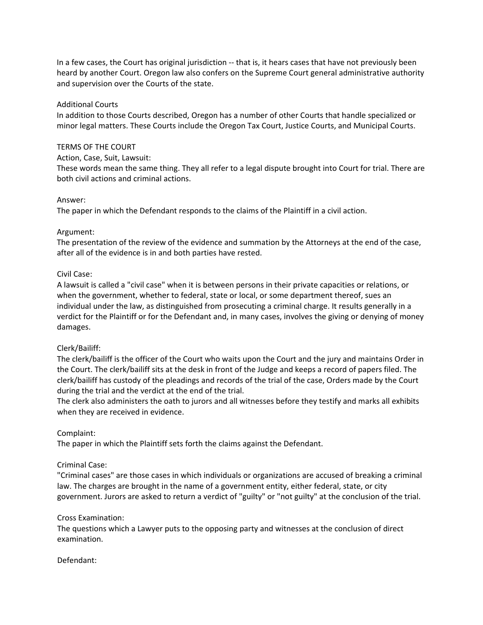In a few cases, the Court has original jurisdiction ‐‐ that is, it hears cases that have not previously been heard by another Court. Oregon law also confers on the Supreme Court general administrative authority and supervision over the Courts of the state.

### Additional Courts

In addition to those Courts described, Oregon has a number of other Courts that handle specialized or minor legal matters. These Courts include the Oregon Tax Court, Justice Courts, and Municipal Courts.

#### TERMS OF THE COURT

Action, Case, Suit, Lawsuit:

These words mean the same thing. They all refer to a legal dispute brought into Court for trial. There are both civil actions and criminal actions.

#### Answer:

The paper in which the Defendant responds to the claims of the Plaintiff in a civil action.

#### Argument:

The presentation of the review of the evidence and summation by the Attorneys at the end of the case, after all of the evidence is in and both parties have rested.

#### Civil Case:

A lawsuit is called a "civil case" when it is between persons in their private capacities or relations, or when the government, whether to federal, state or local, or some department thereof, sues an individual under the law, as distinguished from prosecuting a criminal charge. It results generally in a verdict for the Plaintiff or for the Defendant and, in many cases, involves the giving or denying of money damages.

### Clerk/Bailiff:

The clerk/bailiff is the officer of the Court who waits upon the Court and the jury and maintains Order in the Court. The clerk/bailiff sits at the desk in front of the Judge and keeps a record of papers filed. The clerk/bailiff has custody of the pleadings and records of the trial of the case, Orders made by the Court during the trial and the verdict at the end of the trial.

The clerk also administers the oath to jurors and all witnesses before they testify and marks all exhibits when they are received in evidence.

### Complaint:

The paper in which the Plaintiff sets forth the claims against the Defendant.

### Criminal Case:

"Criminal cases" are those cases in which individuals or organizations are accused of breaking a criminal law. The charges are brought in the name of a government entity, either federal, state, or city government. Jurors are asked to return a verdict of "guilty" or "not guilty" at the conclusion of the trial.

#### Cross Examination:

The questions which a Lawyer puts to the opposing party and witnesses at the conclusion of direct examination.

#### Defendant: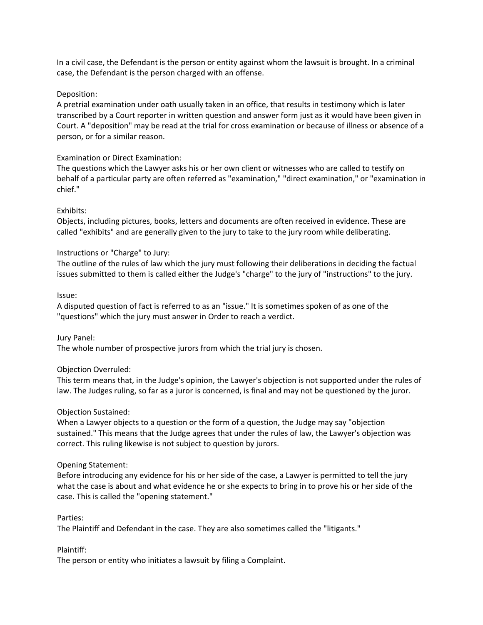In a civil case, the Defendant is the person or entity against whom the lawsuit is brought. In a criminal case, the Defendant is the person charged with an offense.

### Deposition:

A pretrial examination under oath usually taken in an office, that results in testimony which is later transcribed by a Court reporter in written question and answer form just as it would have been given in Court. A "deposition" may be read at the trial for cross examination or because of illness or absence of a person, or for a similar reason.

### Examination or Direct Examination:

The questions which the Lawyer asks his or her own client or witnesses who are called to testify on behalf of a particular party are often referred as "examination," "direct examination," or "examination in chief."

#### Exhibits:

Objects, including pictures, books, letters and documents are often received in evidence. These are called "exhibits" and are generally given to the jury to take to the jury room while deliberating.

### Instructions or "Charge" to Jury:

The outline of the rules of law which the jury must following their deliberations in deciding the factual issues submitted to them is called either the Judge's "charge" to the jury of "instructions" to the jury.

#### Issue:

A disputed question of fact is referred to as an "issue." It is sometimes spoken of as one of the "questions" which the jury must answer in Order to reach a verdict.

### Jury Panel:

The whole number of prospective jurors from which the trial jury is chosen.

### Objection Overruled:

This term means that, in the Judge's opinion, the Lawyer's objection is not supported under the rules of law. The Judges ruling, so far as a juror is concerned, is final and may not be questioned by the juror.

### Objection Sustained:

When a Lawyer objects to a question or the form of a question, the Judge may say "objection sustained." This means that the Judge agrees that under the rules of law, the Lawyer's objection was correct. This ruling likewise is not subject to question by jurors.

#### Opening Statement:

Before introducing any evidence for his or her side of the case, a Lawyer is permitted to tell the jury what the case is about and what evidence he or she expects to bring in to prove his or her side of the case. This is called the "opening statement."

#### Parties:

The Plaintiff and Defendant in the case. They are also sometimes called the "litigants."

### Plaintiff:

The person or entity who initiates a lawsuit by filing a Complaint.